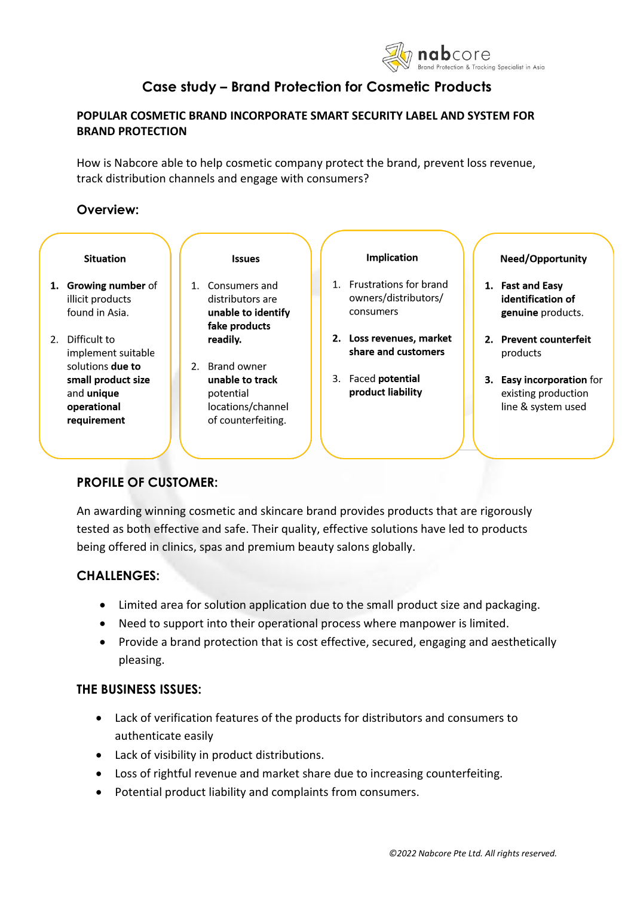

# **Case study – Brand Protection for Cosmetic Products**

# **POPULAR COSMETIC BRAND INCORPORATE SMART SECURITY LABEL AND SYSTEM FOR BRAND PROTECTION**

How is Nabcore able to help cosmetic company protect the brand, prevent loss revenue, track distribution channels and engage with consumers?

# **Overview:**

|                | <b>Situation</b>                                                                                 |  | <b>Issues</b>                                                                             |  |    | <b>Implication</b>                                             |    | <b>Need/Opportunity</b>                                                    |
|----------------|--------------------------------------------------------------------------------------------------|--|-------------------------------------------------------------------------------------------|--|----|----------------------------------------------------------------|----|----------------------------------------------------------------------------|
|                | 1. Growing number of<br>illicit products<br>found in Asia.                                       |  | 1. Consumers and<br>distributors are<br>unable to identify<br>fake products               |  |    | 1. Frustrations for brand<br>owners/distributors/<br>consumers | 1. | <b>Fast and Easy</b><br>identification of<br>genuine products.             |
| 2 <sub>1</sub> | Difficult to<br>implement suitable                                                               |  | readily.                                                                                  |  |    | 2. Loss revenues, market<br>share and customers                |    | 2. Prevent counterfeit<br>products                                         |
|                | solutions <b>due to</b><br>small product size<br>and <b>unique</b><br>operational<br>requirement |  | 2. Brand owner<br>unable to track<br>potential<br>locations/channel<br>of counterfeiting. |  | 3. | Faced potential<br>product liability                           | 3. | <b>Easy incorporation for</b><br>existing production<br>line & system used |

# **PROFILE OF CUSTOMER:**

An awarding winning cosmetic and skincare brand provides products that are rigorously tested as both effective and safe. Their quality, effective solutions have led to products being offered in clinics, spas and premium beauty salons globally.

# **CHALLENGES:**

- Limited area for solution application due to the small product size and packaging.
- Need to support into their operational process where manpower is limited.
- Provide a brand protection that is cost effective, secured, engaging and aesthetically pleasing.

# **THE BUSINESS ISSUES:**

- Lack of verification features of the products for distributors and consumers to authenticate easily
- Lack of visibility in product distributions.
- Loss of rightful revenue and market share due to increasing counterfeiting.
- Potential product liability and complaints from consumers.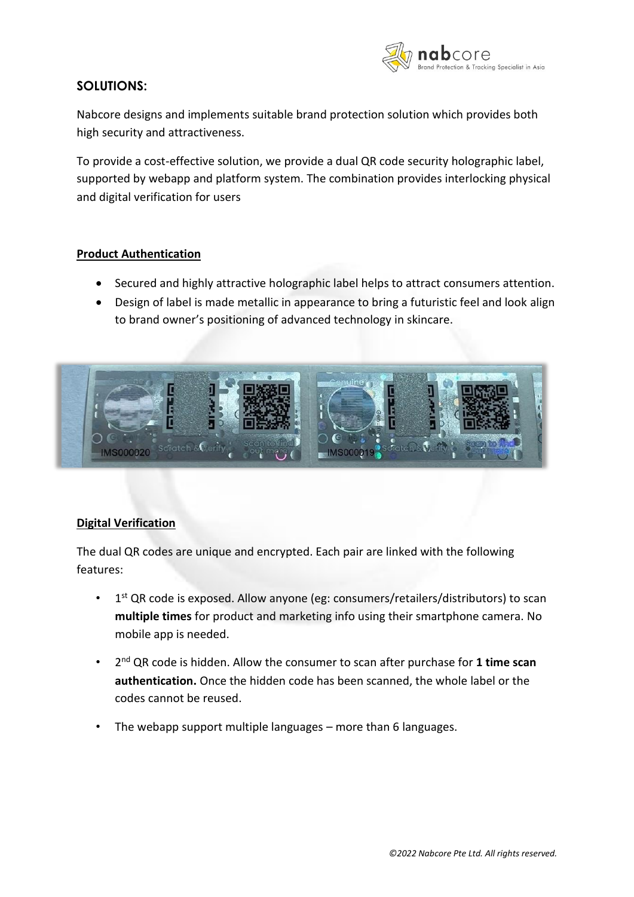

# **SOLUTIONS:**

Nabcore designs and implements suitable brand protection solution which provides both high security and attractiveness.

To provide a cost-effective solution, we provide a dual QR code security holographic label, supported by webapp and platform system. The combination provides interlocking physical and digital verification for users

### **Product Authentication**

- Secured and highly attractive holographic label helps to attract consumers attention.
- Design of label is made metallic in appearance to bring a futuristic feel and look align to brand owner's positioning of advanced technology in skincare.



#### **Digital Verification**

The dual QR codes are unique and encrypted. Each pair are linked with the following features:

- $\cdot$  1<sup>st</sup> QR code is exposed. Allow anyone (eg: consumers/retailers/distributors) to scan **multiple times** for product and marketing info using their smartphone camera. No mobile app is needed.
- 2 nd QR code is hidden. Allow the consumer to scan after purchase for **1 time scan authentication.** Once the hidden code has been scanned, the whole label or the codes cannot be reused.
- The webapp support multiple languages more than 6 languages.